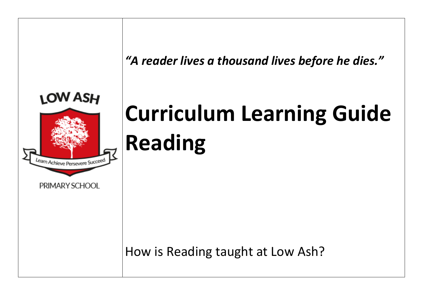*"A reader lives a thousand lives before he dies."*



# **Curriculum Learning Guide Reading**

How is Reading taught at Low Ash?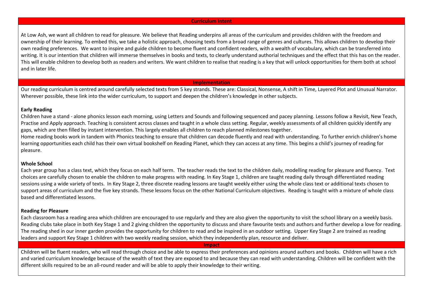### **Curriculum Intent**

At Low Ash, we want all children to read for pleasure. We believe that Reading underpins all areas of the curriculum and provides children with the freedom and ownership of their learning. To embed this, we take a holistic approach, choosing texts from a broad range of genres and cultures. This allows children to develop their own reading preferences. We want to inspire and guide children to become fluent and confident readers, with a wealth of vocabulary, which can be transferred into writing. It is our intention that children will immerse themselves in books and texts, to clearly understand authorial techniques and the effect that this has on the reader. This will enable children to develop both as readers and writers. We want children to realise that reading is a key that will unlock opportunities for them both at school and in later life.

### **Implementation**

Our reading curriculum is centred around carefully selected texts from 5 key strands. These are: Classical, Nonsense, A shift in Time, Layered Plot and Unusual Narrator. Wherever possible, these link into the wider curriculum, to support and deepen the children's knowledge in other subjects.

### **Early Reading**

Children have a stand - alone phonics lesson each morning, using Letters and Sounds and following sequenced and pacey planning. Lessons follow a Revisit, New Teach, Practise and Apply approach. Teaching is consistent across classes and taught in a whole class setting. Regular, weekly assessments of all children quickly identify any gaps, which are then filled by instant intervention. This largely enables all children to reach planned milestones together.

Home reading books work in tandem with Phonics teaching to ensure that children can decode fluently and read with understanding. To further enrich children's home learning opportunities each child has their own virtual bookshelf on Reading Planet, which they can access at any time. This begins a child's journey of reading for pleasure.

### **Whole School**

Each year group has a class text, which they focus on each half term. The teacher reads the text to the children daily, modelling reading for pleasure and fluency. Text choices are carefully chosen to enable the children to make progress with reading. In Key Stage 1, children are taught reading daily through differentiated reading sessions using a wide variety of texts. In Key Stage 2, three discrete reading lessons are taught weekly either using the whole class text or additional texts chosen to support areas of curriculum and the five key strands. These lessons focus on the other National Curriculum objectives. Reading is taught with a mixture of whole class based and differentiated lessons.

## **Reading for Pleasure**

Each classroom has a reading area which children are encouraged to use regularly and they are also given the opportunity to visit the school library on a weekly basis. Reading clubs take place in both Key Stage 1 and 2 giving children the opportunity to discuss and share favourite texts and authors and further develop a love for reading. The reading shed in our inner garden provides the opportunity for children to read and be inspired in an outdoor setting. Upper Key Stage 2 are trained as reading leaders and support Key Stage 1 children with two weekly reading session, which they independently plan, resource and deliver.

**Impact**

Children will be fluent readers, who will read through choice and be able to express their preferences and opinions around authors and books. Children will have a rich and varied curriculum knowledge because of the wealth of text they are exposed to and because they can read with understanding. Children will be confident with the different skills required to be an all-round reader and will be able to apply their knowledge to their writing.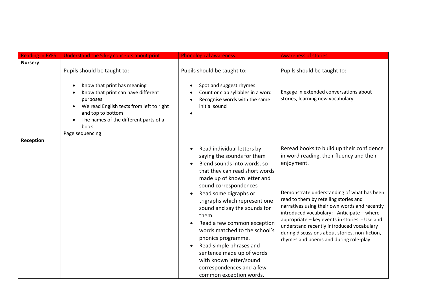| <b>Reading in EYFS</b> | Understand the 5 key concepts about print                                                                                                                                                                                                         | <b>Phonological awareness</b>                                                                                                                                                                                                                                                                                                                                                                                                                                                                                         | <b>Awareness of stories</b>                                                                                                                                                                                                                                                                                                                                                                                                                                                           |
|------------------------|---------------------------------------------------------------------------------------------------------------------------------------------------------------------------------------------------------------------------------------------------|-----------------------------------------------------------------------------------------------------------------------------------------------------------------------------------------------------------------------------------------------------------------------------------------------------------------------------------------------------------------------------------------------------------------------------------------------------------------------------------------------------------------------|---------------------------------------------------------------------------------------------------------------------------------------------------------------------------------------------------------------------------------------------------------------------------------------------------------------------------------------------------------------------------------------------------------------------------------------------------------------------------------------|
| <b>Nursery</b>         | Pupils should be taught to:<br>Know that print has meaning<br>Know that print can have different<br>purposes<br>We read English texts from left to right<br>and top to bottom<br>The names of the different parts of a<br>book<br>Page sequencing | Pupils should be taught to:<br>Spot and suggest rhymes<br>Count or clap syllables in a word<br>Recognise words with the same<br>initial sound                                                                                                                                                                                                                                                                                                                                                                         | Pupils should be taught to:<br>Engage in extended conversations about<br>stories, learning new vocabulary.                                                                                                                                                                                                                                                                                                                                                                            |
| Reception              |                                                                                                                                                                                                                                                   | Read individual letters by<br>saying the sounds for them<br>Blend sounds into words, so<br>that they can read short words<br>made up of known letter and<br>sound correspondences<br>Read some digraphs or<br>trigraphs which represent one<br>sound and say the sounds for<br>them.<br>Read a few common exception<br>words matched to the school's<br>phonics programme.<br>Read simple phrases and<br>sentence made up of words<br>with known letter/sound<br>correspondences and a few<br>common exception words. | Reread books to build up their confidence<br>in word reading, their fluency and their<br>enjoyment.<br>Demonstrate understanding of what has been<br>read to them by retelling stories and<br>narratives using their own words and recently<br>introduced vocabulary; - Anticipate - where<br>appropriate - key events in stories; - Use and<br>understand recently introduced vocabulary<br>during discussions about stories, non-fiction,<br>rhymes and poems and during role-play. |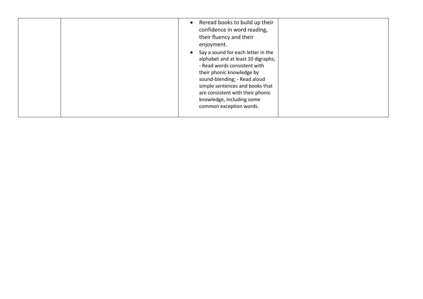|  | Reread books to build up their<br>confidence in word reading,<br>their fluency and their<br>enjoyment.<br>Say a sound for each letter in the<br>alphabet and at least 10 digraphs;<br>- Read words consistent with<br>their phonic knowledge by<br>sound-blending; - Read aloud<br>simple sentences and books that<br>are consistent with their phonic<br>knowledge, including some<br>common exception words. |  |
|--|----------------------------------------------------------------------------------------------------------------------------------------------------------------------------------------------------------------------------------------------------------------------------------------------------------------------------------------------------------------------------------------------------------------|--|
|--|----------------------------------------------------------------------------------------------------------------------------------------------------------------------------------------------------------------------------------------------------------------------------------------------------------------------------------------------------------------------------------------------------------------|--|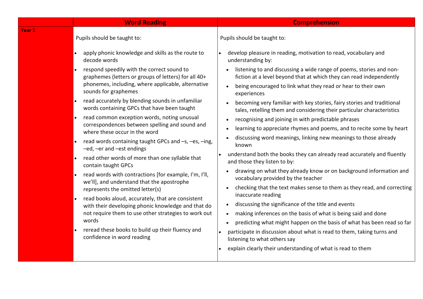|        | <b>Word Reading</b>                                                                                                                                                                                                                                                                                                                                                                                                                                                                                                                                                                                                                                       | <b>Comprehension</b>                                                                                                                                                                                                                                                                                                                                                                                                                                                                                                                                                                                                                                                                                                                                                        |
|--------|-----------------------------------------------------------------------------------------------------------------------------------------------------------------------------------------------------------------------------------------------------------------------------------------------------------------------------------------------------------------------------------------------------------------------------------------------------------------------------------------------------------------------------------------------------------------------------------------------------------------------------------------------------------|-----------------------------------------------------------------------------------------------------------------------------------------------------------------------------------------------------------------------------------------------------------------------------------------------------------------------------------------------------------------------------------------------------------------------------------------------------------------------------------------------------------------------------------------------------------------------------------------------------------------------------------------------------------------------------------------------------------------------------------------------------------------------------|
| Year 1 | Pupils should be taught to:<br>apply phonic knowledge and skills as the route to<br>decode words<br>respond speedily with the correct sound to<br>graphemes (letters or groups of letters) for all 40+<br>phonemes, including, where applicable, alternative<br>sounds for graphemes<br>read accurately by blending sounds in unfamiliar<br>$\bullet$<br>words containing GPCs that have been taught<br>read common exception words, noting unusual<br>$\bullet$<br>correspondences between spelling and sound and                                                                                                                                        | Pupils should be taught to:<br>develop pleasure in reading, motivation to read, vocabulary and<br>understanding by:<br>listening to and discussing a wide range of poems, stories and non-<br>fiction at a level beyond that at which they can read independently<br>being encouraged to link what they read or hear to their own<br>experiences<br>becoming very familiar with key stories, fairy stories and traditional<br>tales, retelling them and considering their particular characteristics<br>recognising and joining in with predictable phrases<br>learning to appreciate rhymes and poems, and to recite some by heart                                                                                                                                         |
|        | where these occur in the word<br>read words containing taught GPCs and -s, -es, -ing,<br>$\bullet$<br>-ed, -er and -est endings<br>read other words of more than one syllable that<br>$\bullet$<br>contain taught GPCs<br>read words with contractions [for example, I'm, I'll,<br>$\bullet$<br>we'll], and understand that the apostrophe<br>represents the omitted letter(s)<br>read books aloud, accurately, that are consistent<br>$\bullet$<br>with their developing phonic knowledge and that do<br>not require them to use other strategies to work out<br>words<br>reread these books to build up their fluency and<br>confidence in word reading | discussing word meanings, linking new meanings to those already<br>known<br>understand both the books they can already read accurately and fluently<br>and those they listen to by:<br>drawing on what they already know or on background information and<br>vocabulary provided by the teacher<br>checking that the text makes sense to them as they read, and correcting<br>inaccurate reading<br>discussing the significance of the title and events<br>making inferences on the basis of what is being said and done<br>predicting what might happen on the basis of what has been read so far<br>participate in discussion about what is read to them, taking turns and<br>listening to what others say<br>explain clearly their understanding of what is read to them |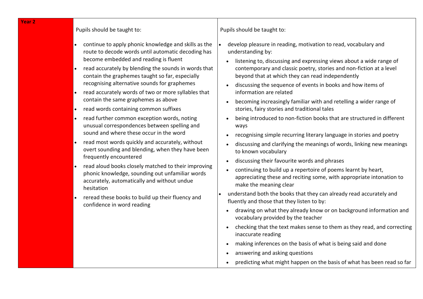# Pupils should be taught to:

- continue to apply phonic knowledge and skills as the route to decode words until automatic decoding has become embedded and reading is fluent
- read accurately by blending the sounds in words that contain the graphemes taught so far, especially recognising alternative sounds for graphemes
- read accurately words of two or more syllables that contain the same graphemes as above
- read words containing common suffixes
- read further common exception words, noting unusual correspondences between spelling and sound and where these occur in the word
- read most words quickly and accurately, without overt sounding and blending, when they have been frequently encountered
- read aloud books closely matched to their improving phonic knowledge, sounding out unfamiliar words accurately, automatically and without undue hesitation
- reread these books to build up their fluency and confidence in word reading

Pupils should be taught to:

- develop pleasure in reading, motivation to read, vocabulary and understanding by:
	- listening to, discussing and expressing views about a wide range of contemporary and classic poetry, stories and non-fiction at a level beyond that at which they can read independently
	- discussing the sequence of events in books and how items of information are related
	- becoming increasingly familiar with and retelling a wider range of stories, fairy stories and traditional tales
	- being introduced to non-fiction books that are structured in different ways
	- recognising simple recurring literary language in stories and poetry
	- discussing and clarifying the meanings of words, linking new meanings to known vocabulary
	- discussing their favourite words and phrases
	- continuing to build up a repertoire of poems learnt by heart, appreciating these and reciting some, with appropriate intonation to make the meaning clear
- understand both the books that they can already read accurately and fluently and those that they listen to by:
- drawing on what they already know or on background information and vocabulary provided by the teacher
- checking that the text makes sense to them as they read, and correcting inaccurate reading
- making inferences on the basis of what is being said and done
- answering and asking questions
- predicting what might happen on the basis of what has been read so far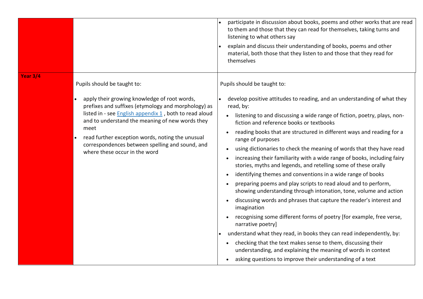|                 |                                                                                                                                                                                                                                                                                                                                                                                                 | participate in discussion about books, poems and other works that are read<br>to them and those that they can read for themselves, taking turns and<br>listening to what others say<br>explain and discuss their understanding of books, poems and other<br>material, both those that they listen to and those that they read for<br>themselves                                                                                                                                                                                                                                                                                                                                                                                                                                                                                                                                                                                                                                                                                                                                                                                                                                                                                                                                                                            |
|-----------------|-------------------------------------------------------------------------------------------------------------------------------------------------------------------------------------------------------------------------------------------------------------------------------------------------------------------------------------------------------------------------------------------------|----------------------------------------------------------------------------------------------------------------------------------------------------------------------------------------------------------------------------------------------------------------------------------------------------------------------------------------------------------------------------------------------------------------------------------------------------------------------------------------------------------------------------------------------------------------------------------------------------------------------------------------------------------------------------------------------------------------------------------------------------------------------------------------------------------------------------------------------------------------------------------------------------------------------------------------------------------------------------------------------------------------------------------------------------------------------------------------------------------------------------------------------------------------------------------------------------------------------------------------------------------------------------------------------------------------------------|
| <b>Year 3/4</b> | Pupils should be taught to:<br>apply their growing knowledge of root words,<br>prefixes and suffixes (etymology and morphology) as<br>listed in - see English appendix 1, both to read aloud<br>and to understand the meaning of new words they<br>meet<br>read further exception words, noting the unusual<br>correspondences between spelling and sound, and<br>where these occur in the word | Pupils should be taught to:<br>develop positive attitudes to reading, and an understanding of what they<br>read, by:<br>listening to and discussing a wide range of fiction, poetry, plays, non-<br>fiction and reference books or textbooks<br>reading books that are structured in different ways and reading for a<br>$\bullet$<br>range of purposes<br>using dictionaries to check the meaning of words that they have read<br>$\bullet$<br>increasing their familiarity with a wide range of books, including fairy<br>$\bullet$<br>stories, myths and legends, and retelling some of these orally<br>identifying themes and conventions in a wide range of books<br>$\bullet$<br>preparing poems and play scripts to read aloud and to perform,<br>$\bullet$<br>showing understanding through intonation, tone, volume and action<br>discussing words and phrases that capture the reader's interest and<br>$\bullet$<br>imagination<br>recognising some different forms of poetry [for example, free verse,<br>narrative poetry]<br>understand what they read, in books they can read independently, by:<br>checking that the text makes sense to them, discussing their<br>$\bullet$<br>understanding, and explaining the meaning of words in context<br>asking questions to improve their understanding of a text |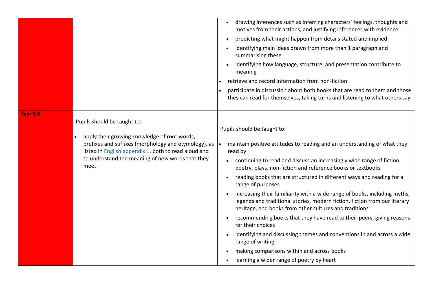|                                                                                                                                                                                                                                                                                    | drawing inferences such as inferring characters' feelings, thoughts and<br>motives from their actions, and justifying inferences with evidence<br>predicting what might happen from details stated and implied<br>identifying main ideas drawn from more than 1 paragraph and<br>summarising these<br>identifying how language, structure, and presentation contribute to<br>meaning<br>retrieve and record information from non-fiction<br>participate in discussion about both books that are read to them and those<br>they can read for themselves, taking turns and listening to what others say                                                                                                                                                                                                                                                                       |
|------------------------------------------------------------------------------------------------------------------------------------------------------------------------------------------------------------------------------------------------------------------------------------|-----------------------------------------------------------------------------------------------------------------------------------------------------------------------------------------------------------------------------------------------------------------------------------------------------------------------------------------------------------------------------------------------------------------------------------------------------------------------------------------------------------------------------------------------------------------------------------------------------------------------------------------------------------------------------------------------------------------------------------------------------------------------------------------------------------------------------------------------------------------------------|
| <b>Year 5/6</b><br>Pupils should be taught to:<br>apply their growing knowledge of root words,<br>prefixes and suffixes (morphology and etymology), as<br>listed in <b>English appendix 1</b> , both to read aloud and<br>to understand the meaning of new words that they<br>meet | Pupils should be taught to:<br>maintain positive attitudes to reading and an understanding of what they<br>∣∙<br>read by:<br>continuing to read and discuss an increasingly wide range of fiction,<br>poetry, plays, non-fiction and reference books or textbooks<br>reading books that are structured in different ways and reading for a<br>range of purposes<br>increasing their familiarity with a wide range of books, including myths,<br>legends and traditional stories, modern fiction, fiction from our literary<br>heritage, and books from other cultures and traditions<br>recommending books that they have read to their peers, giving reasons<br>for their choices<br>identifying and discussing themes and conventions in and across a wide<br>range of writing<br>making comparisons within and across books<br>learning a wider range of poetry by heart |